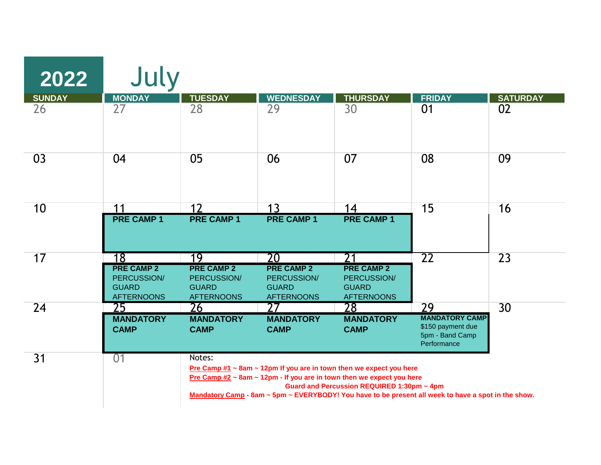| 2022            | July                                                                  |                                                                       |                                                                                                                                                          |                                                                       |                                                                                                     |                 |
|-----------------|-----------------------------------------------------------------------|-----------------------------------------------------------------------|----------------------------------------------------------------------------------------------------------------------------------------------------------|-----------------------------------------------------------------------|-----------------------------------------------------------------------------------------------------|-----------------|
| <b>SUNDAY</b>   | <b>MONDAY</b>                                                         | <b>TUESDAY</b>                                                        | <b>WEDNESDAY</b>                                                                                                                                         | <b>THURSDAY</b>                                                       | <b>FRIDAY</b>                                                                                       | <b>SATURDAY</b> |
| 26              | 27                                                                    | 28                                                                    | 29                                                                                                                                                       | 30                                                                    | 01                                                                                                  | 02              |
| 03              | 04                                                                    | 05                                                                    | 06                                                                                                                                                       | 07                                                                    | 08                                                                                                  | 09              |
| 10              | 11                                                                    | 12                                                                    | 1 <sub>3</sub>                                                                                                                                           | 14                                                                    | 15                                                                                                  | 16              |
|                 | <b>PRE CAMP 1</b>                                                     | <b>PRE CAMP 1</b>                                                     | <b>PRE CAMP 1</b>                                                                                                                                        | <b>PRE CAMP 1</b>                                                     |                                                                                                     |                 |
| 17              | 18                                                                    | 19                                                                    | 20                                                                                                                                                       | 21                                                                    | $\overline{22}$                                                                                     | 23              |
|                 | <b>PRE CAMP 2</b><br>PERCUSSION/<br><b>GUARD</b><br><b>AFTERNOONS</b> | <b>PRE CAMP 2</b><br>PERCUSSION/<br><b>GUARD</b><br><b>AFTERNOONS</b> | <b>PRE CAMP 2</b><br>PERCUSSION/<br><b>GUARD</b><br><b>AFTERNOONS</b>                                                                                    | <b>PRE CAMP 2</b><br>PERCUSSION/<br><b>GUARD</b><br><b>AFTERNOONS</b> |                                                                                                     |                 |
| 24              | 25                                                                    | 26                                                                    | 27                                                                                                                                                       | 28                                                                    | 29                                                                                                  | 30              |
|                 | <b>MANDATORY</b><br><b>CAMP</b>                                       | <b>MANDATORY</b><br><b>CAMP</b>                                       | <b>MANDATORY</b><br><b>CAMP</b>                                                                                                                          | <b>MANDATORY</b><br><b>CAMP</b>                                       | <b>MANDATORY CAMP</b><br>\$150 payment due<br>5pm - Band Camp<br>Performance                        |                 |
| $\overline{31}$ | 01                                                                    | Notes:                                                                | Pre Camp $#1 \sim 8$ am ~ 12pm If you are in town then we expect you here<br>Pre Camp $#2 \sim 8$ am ~ 12pm - If you are in town then we expect you here | Guard and Percussion REQUIRED 1:30pm ~ 4pm                            | Mandatory Camp - 8am ~ 5pm ~ EVERYBODY! You have to be present all week to have a spot in the show. |                 |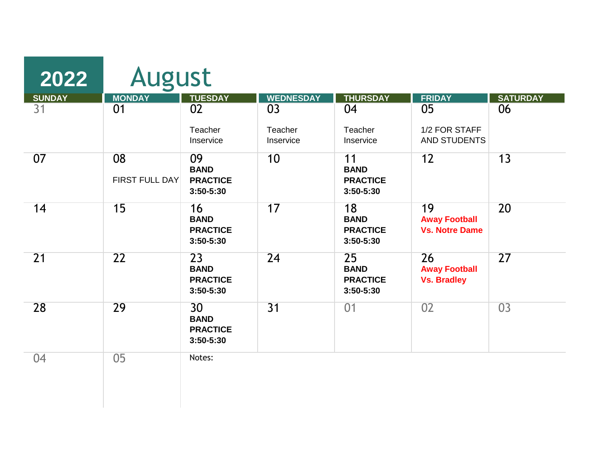| 2022            | <b>August</b>        |                                                   |                            |                                                   |                                                     |                 |
|-----------------|----------------------|---------------------------------------------------|----------------------------|---------------------------------------------------|-----------------------------------------------------|-----------------|
| <b>SUNDAY</b>   | <b>MONDAY</b>        | <b>TUESDAY</b>                                    | <b>WEDNESDAY</b>           | <b>THURSDAY</b>                                   | <b>FRIDAY</b>                                       | <b>SATURDAY</b> |
| 31              | 01                   | 02<br>Teacher<br>Inservice                        | 03<br>Teacher<br>Inservice | 04<br>Teacher<br>Inservice                        | 05<br>1/2 FOR STAFF<br>AND STUDENTS                 | 06              |
| 07              | 08<br>FIRST FULL DAY | 09<br><b>BAND</b><br><b>PRACTICE</b><br>3:50-5:30 | 10                         | 11<br><b>BAND</b><br><b>PRACTICE</b><br>3:50-5:30 | 12                                                  | 13              |
| 14              | 15                   | 16<br><b>BAND</b><br><b>PRACTICE</b><br>3:50-5:30 | 17                         | 18<br><b>BAND</b><br><b>PRACTICE</b><br>3:50-5:30 | 19<br><b>Away Football</b><br><b>Vs. Notre Dame</b> | 20              |
| $\overline{21}$ | $\overline{22}$      | 23<br><b>BAND</b><br><b>PRACTICE</b><br>3:50-5:30 | 24                         | 25<br><b>BAND</b><br><b>PRACTICE</b><br>3:50-5:30 | 26<br><b>Away Football</b><br><b>Vs. Bradley</b>    | $\overline{27}$ |
| 28              | 29                   | 30<br><b>BAND</b><br><b>PRACTICE</b><br>3:50-5:30 | $\overline{31}$            | 01                                                | 02                                                  | 03              |
| 04              | 0 <sub>5</sub>       | Notes:                                            |                            |                                                   |                                                     |                 |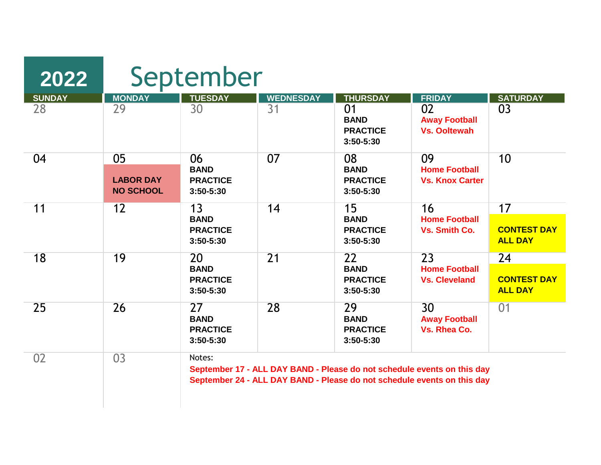| 2022          | September                                  |                                                   |                  |                                                   |                                                                                                                                                    |                                      |  |
|---------------|--------------------------------------------|---------------------------------------------------|------------------|---------------------------------------------------|----------------------------------------------------------------------------------------------------------------------------------------------------|--------------------------------------|--|
| <b>SUNDAY</b> | <b>MONDAY</b>                              | <b>TUESDAY</b>                                    | <b>WEDNESDAY</b> | <b>THURSDAY</b>                                   | <b>FRIDAY</b>                                                                                                                                      | <b>SATURDAY</b>                      |  |
| 28            | 29                                         | 30                                                | 31               | 01<br><b>BAND</b><br><b>PRACTICE</b><br>3:50-5:30 | 02<br><b>Away Football</b><br><b>Vs. Ooltewah</b>                                                                                                  | 03                                   |  |
| 04            | 05<br><b>LABOR DAY</b><br><b>NO SCHOOL</b> | 06<br><b>BAND</b><br><b>PRACTICE</b><br>3:50-5:30 | 07               | 08<br><b>BAND</b><br><b>PRACTICE</b><br>3:50-5:30 | 09<br><b>Home Football</b><br><b>Vs. Knox Carter</b>                                                                                               | 10                                   |  |
| 11            | 12                                         | 13                                                | 14               | 15                                                | 16<br><b>Home Football</b><br>Vs. Smith Co.                                                                                                        | 17                                   |  |
|               |                                            | <b>BAND</b><br><b>PRACTICE</b><br>3:50-5:30       |                  | <b>BAND</b><br><b>PRACTICE</b><br>$3:50 - 5:30$   |                                                                                                                                                    | <b>CONTEST DAY</b><br><b>ALL DAY</b> |  |
| 18            | 19                                         | 20                                                | $\overline{21}$  | 22                                                | 23<br><b>Home Football</b><br><b>Vs. Cleveland</b>                                                                                                 | 24                                   |  |
|               |                                            | <b>BAND</b><br><b>PRACTICE</b><br>3:50-5:30       |                  | <b>BAND</b><br><b>PRACTICE</b><br>3:50-5:30       |                                                                                                                                                    | <b>CONTEST DAY</b><br><b>ALL DAY</b> |  |
| 25            | 26                                         | 27<br><b>BAND</b><br><b>PRACTICE</b><br>3:50-5:30 | 28               | 29<br><b>BAND</b><br><b>PRACTICE</b><br>3:50-5:30 | 30 <sup>°</sup><br><b>Away Football</b><br>Vs. Rhea Co.                                                                                            | 01                                   |  |
| 02            | 03                                         | Notes:                                            |                  |                                                   | September 17 - ALL DAY BAND - Please do not schedule events on this day<br>September 24 - ALL DAY BAND - Please do not schedule events on this day |                                      |  |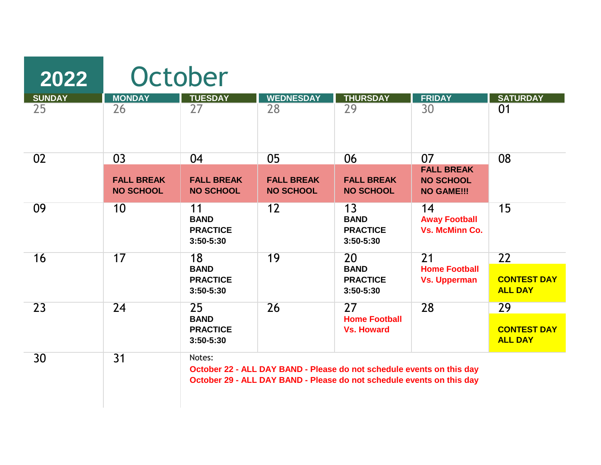| 2022          | October                               |                                                   |                                       |                                                                                                                                                |                                                            |                                      |  |
|---------------|---------------------------------------|---------------------------------------------------|---------------------------------------|------------------------------------------------------------------------------------------------------------------------------------------------|------------------------------------------------------------|--------------------------------------|--|
| <b>SUNDAY</b> | <b>MONDAY</b>                         | <b>TUESDAY</b>                                    | <b>WEDNESDAY</b>                      | <b>THURSDAY</b>                                                                                                                                | <b>FRIDAY</b>                                              | <b>SATURDAY</b>                      |  |
| 25            | 26                                    | 27                                                | 28                                    | 29                                                                                                                                             | 30                                                         | 01                                   |  |
| 02            | 03                                    | 04                                                | 05                                    | 06                                                                                                                                             | 07                                                         | 08                                   |  |
|               | <b>FALL BREAK</b><br><b>NO SCHOOL</b> | <b>FALL BREAK</b><br><b>NO SCHOOL</b>             | <b>FALL BREAK</b><br><b>NO SCHOOL</b> | <b>FALL BREAK</b><br><b>NO SCHOOL</b>                                                                                                          | <b>FALL BREAK</b><br><b>NO SCHOOL</b><br><b>NO GAME!!!</b> |                                      |  |
| 09            | 10                                    | 11<br><b>BAND</b><br><b>PRACTICE</b><br>3:50-5:30 | 12                                    | 13<br><b>BAND</b><br><b>PRACTICE</b><br>3:50-5:30                                                                                              | 14<br><b>Away Football</b><br><b>Vs. McMinn Co.</b>        | 15                                   |  |
| 16            | 17                                    | 18                                                | 19                                    | 20                                                                                                                                             | 21                                                         | 22                                   |  |
|               |                                       | <b>BAND</b><br><b>PRACTICE</b><br>3:50-5:30       |                                       | <b>BAND</b><br><b>PRACTICE</b><br>3:50-5:30                                                                                                    | <b>Home Football</b><br><b>Vs. Upperman</b>                | <b>CONTEST DAY</b><br><b>ALL DAY</b> |  |
| 23            | 24                                    | 25                                                | 26                                    | 27                                                                                                                                             | 28                                                         | 29                                   |  |
|               |                                       | <b>BAND</b><br><b>PRACTICE</b><br>3:50-5:30       |                                       | <b>Home Football</b><br><b>Vs. Howard</b>                                                                                                      |                                                            | <b>CONTEST DAY</b><br><b>ALL DAY</b> |  |
| 30            | $\overline{31}$                       | Notes:                                            |                                       | October 22 - ALL DAY BAND - Please do not schedule events on this day<br>October 29 - ALL DAY BAND - Please do not schedule events on this day |                                                            |                                      |  |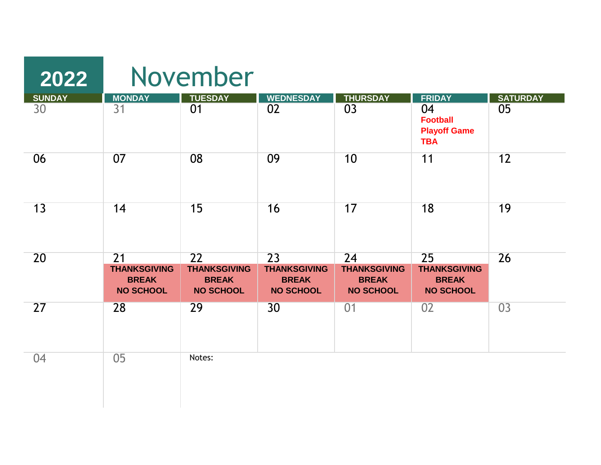| 2022          |                                                                            | November                                                      |                                                               |                                                               |                                                               |                 |  |
|---------------|----------------------------------------------------------------------------|---------------------------------------------------------------|---------------------------------------------------------------|---------------------------------------------------------------|---------------------------------------------------------------|-----------------|--|
| <b>SUNDAY</b> | <b>MONDAY</b>                                                              | <b>TUESDAY</b>                                                | <b>WEDNESDAY</b>                                              | <b>THURSDAY</b>                                               | <b>FRIDAY</b>                                                 | <b>SATURDAY</b> |  |
| 30            | $\overline{31}$                                                            | 01                                                            | 02                                                            | 03                                                            | 04<br><b>Football</b><br><b>Playoff Game</b><br><b>TBA</b>    | 05              |  |
| 06            | 07                                                                         | 08                                                            | 09                                                            | 10                                                            | 11                                                            | 12              |  |
| 13            | 14                                                                         | 15                                                            | 16                                                            | 17                                                            | 18                                                            | 19              |  |
| 20            | $\overline{21}$<br><b>THANKSGIVING</b><br><b>BREAK</b><br><b>NO SCHOOL</b> | 22<br><b>THANKSGIVING</b><br><b>BREAK</b><br><b>NO SCHOOL</b> | 23<br><b>THANKSGIVING</b><br><b>BREAK</b><br><b>NO SCHOOL</b> | 24<br><b>THANKSGIVING</b><br><b>BREAK</b><br><b>NO SCHOOL</b> | 25<br><b>THANKSGIVING</b><br><b>BREAK</b><br><b>NO SCHOOL</b> | 26              |  |
| 27            | 28                                                                         | 29                                                            | 30                                                            | 01                                                            | 02                                                            | 03              |  |
| 04            | 05                                                                         | Notes:                                                        |                                                               |                                                               |                                                               |                 |  |